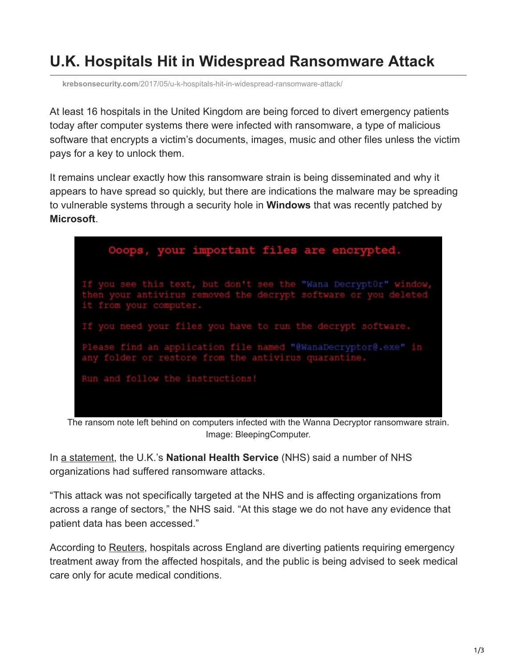## **U.K. Hospitals Hit in Widespread Ransomware Attack**

**krebsonsecurity.com**[/2017/05/u-k-hospitals-hit-in-widespread-ransomware-attack/](https://krebsonsecurity.com/2017/05/u-k-hospitals-hit-in-widespread-ransomware-attack/)

At least 16 hospitals in the United Kingdom are being forced to divert emergency patients today after computer systems there were infected with ransomware, a type of malicious software that encrypts a victim's documents, images, music and other files unless the victim pays for a key to unlock them.

It remains unclear exactly how this ransomware strain is being disseminated and why it appears to have spread so quickly, but there are indications the malware may be spreading to vulnerable systems through a security hole in **Windows** that was recently patched by **Microsoft**.



The ransom note left behind on computers infected with the Wanna Decryptor ransomware strain. Image: BleepingComputer.

In [a statement](https://www.digital.nhs.uk/article/1491/Statement-on-reported-NHS-cyber-attack), the U.K.'s **National Health Service** (NHS) said a number of NHS organizations had suffered ransomware attacks.

"This attack was not specifically targeted at the NHS and is affecting organizations from across a range of sectors," the NHS said. "At this stage we do not have any evidence that patient data has been accessed."

According to [Reuters](http://www.reuters.com/article/us-britain-security-hospitals-idUSKBN18820S), hospitals across England are diverting patients requiring emergency treatment away from the affected hospitals, and the public is being advised to seek medical care only for acute medical conditions.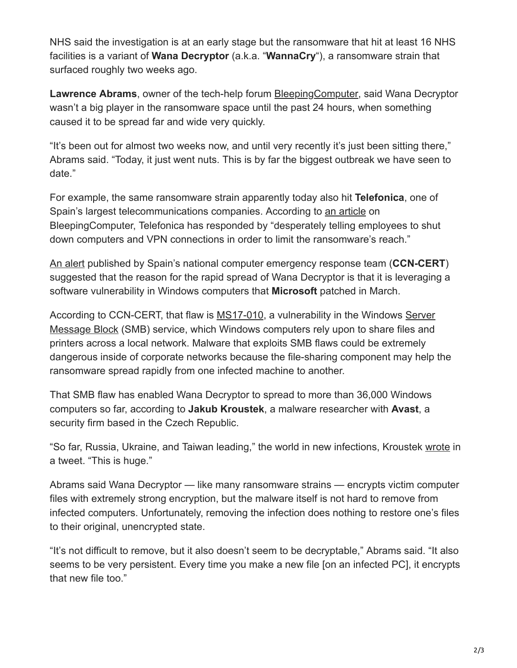NHS said the investigation is at an early stage but the ransomware that hit at least 16 NHS facilities is a variant of **Wana Decryptor** (a.k.a. "**WannaCry**"), a ransomware strain that surfaced roughly two weeks ago.

**Lawrence Abrams**, owner of the tech-help forum [BleepingComputer](http://www.bleepingcomputer.com/), said Wana Decryptor wasn't a big player in the ransomware space until the past 24 hours, when something caused it to be spread far and wide very quickly.

"It's been out for almost two weeks now, and until very recently it's just been sitting there," Abrams said. "Today, it just went nuts. This is by far the biggest outbreak we have seen to date."

For example, the same ransomware strain apparently today also hit **Telefonica**, one of Spain's largest telecommunications companies. According to [an article](https://www.bleepingcomputer.com/news/security/telefonica-tells-employees-to-shut-down-computers-amid-massive-ransomware-outbreak/) on BleepingComputer, Telefonica has responded by "desperately telling employees to shut down computers and VPN connections in order to limit the ransomware's reach."

[An alert](https://www.bleepingcomputer.com/news/security/telefonica-tells-employees-to-shut-down-computers-amid-massive-ransomware-outbreak/) published by Spain's national computer emergency response team (**CCN-CERT**) suggested that the reason for the rapid spread of Wana Decryptor is that it is leveraging a software vulnerability in Windows computers that **Microsoft** patched in March.

[According to CCN-CERT, that flaw is MS17-010, a vulnerability in the Windows Server](https://en.wikipedia.org/wiki/Server_Message_Block) Message Block (SMB) service, which Windows computers rely upon to share files and printers across a local network. Malware that exploits SMB flaws could be extremely dangerous inside of corporate networks because the file-sharing component may help the ransomware spread rapidly from one infected machine to another.

That SMB flaw has enabled Wana Decryptor to spread to more than 36,000 Windows computers so far, according to **Jakub Kroustek**, a malware researcher with **Avast**, a security firm based in the Czech Republic.

"So far, Russia, Ukraine, and Taiwan leading," the world in new infections, Kroustek [wrote](https://twitter.com/JakubKroustek/status/863045197663490053) in a tweet. "This is huge."

Abrams said Wana Decryptor — like many ransomware strains — encrypts victim computer files with extremely strong encryption, but the malware itself is not hard to remove from infected computers. Unfortunately, removing the infection does nothing to restore one's files to their original, unencrypted state.

"It's not difficult to remove, but it also doesn't seem to be decryptable," Abrams said. "It also seems to be very persistent. Every time you make a new file [on an infected PC], it encrypts that new file too."